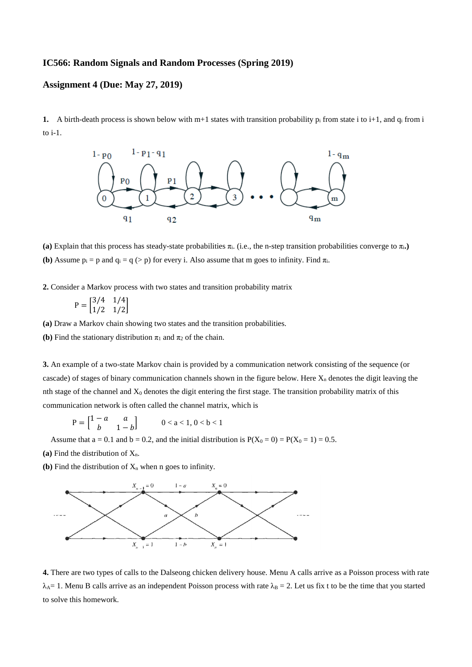## **IC566: Random Signals and Random Processes (Spring 2019)**

## **Assignment 4 (Due: May 27, 2019)**

**1.** A birth-death process is shown below with  $m+1$  states with transition probability  $p_i$  from state i to i+1, and  $q_i$  from i to i-1.



(a) Explain that this process has steady-state probabilities  $\pi_i$ . (i.e., the n-step transition probabilities converge to  $\pi_i$ .) **(b)** Assume  $p_i = p$  and  $q_i = q \geq p$ ) for every i. Also assume that m goes to infinity. Find  $\pi_i$ .

**2.** Consider a Markov process with two states and transition probability matrix

$$
P = \begin{bmatrix} 3/4 & 1/4 \\ 1/2 & 1/2 \end{bmatrix}
$$

**(a)** Draw a Markov chain showing two states and the transition probabilities.

**(b)** Find the stationary distribution  $\pi_1$  and  $\pi_2$  of the chain.

**3.** An example of a two-state Markov chain is provided by a communication network consisting of the sequence (or cascade) of stages of binary communication channels shown in the figure below. Here  $X_n$  denotes the digit leaving the nth stage of the channel and  $X_0$  denotes the digit entering the first stage. The transition probability matrix of this communication network is often called the channel matrix, which is

 $P = \begin{bmatrix} 1 - a & a \\ b & 1 - b \end{bmatrix}$   $0 < a < 1, 0 < b < 1$ 

Assume that  $a = 0.1$  and  $b = 0.2$ , and the initial distribution is  $P(X_0 = 0) = P(X_0 = 1) = 0.5$ .

(a) Find the distribution of  $X_n$ .

**(b)** Find the distribution of  $X_n$  when n goes to infinity.



**4.** There are two types of calls to the Dalseong chicken delivery house. Menu A calls arrive as a Poisson process with rate  $\lambda_{\text{A}}$  = 1. Menu B calls arrive as an independent Poisson process with rate  $\lambda_{\text{B}}$  = 2. Let us fix t to be the time that you started to solve this homework.